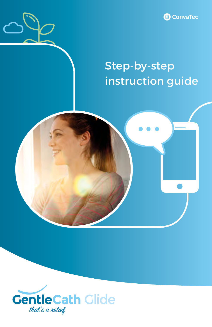

### Step-by-step instruction guide



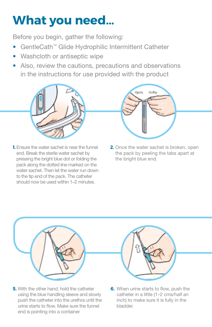# **What you need…**

Before you begin, gather the following:

- GentleCath™ Glide Hydrophilic Intermittent Catheter
- Washcloth or antiseptic wipe
- Also, review the cautions, precautions and observations in the instructions for use provided with the product



**1.** Ensure the water sachet is near the funnel end. Break the sterile water sachet by pressing the bright blue dot or folding the pack along the dotted line marked on the water sachet. Then let the water run down to the tip end of the pack. The catheter should now be used within 1–2 minutes



**2.** Once the water sachet is broken, open the pack by peeling the tabs apart at the bright blue end.



**5.** With the other hand, hold the catheter using the blue handling sleeve and slowly push the catheter into the urethra until the urine starts to flow. Make sure the funnel end is pointing into a container.



**6.** When urine starts to flow, push the catheter in a little (1–2 cms/half an inch) to make sure it is fully in the bladder.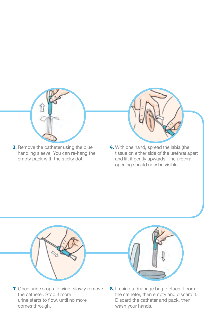

**3.** Remove the catheter using the blue handling sleeve. You can re-hang the empty pack with the sticky dot.



**4.** With one hand, spread the labia (the tissue on either side of the urethra) apart and lift it gently upwards. The urethra opening should now be visible.



**7.** Once urine stops flowing, slowly remove the catheter. Stop if more urine starts to flow, until no more comes through.



**8.** If using a drainage bag, detach it from the catheter, then empty and discard it. Discard the catheter and pack, then wash your hands.